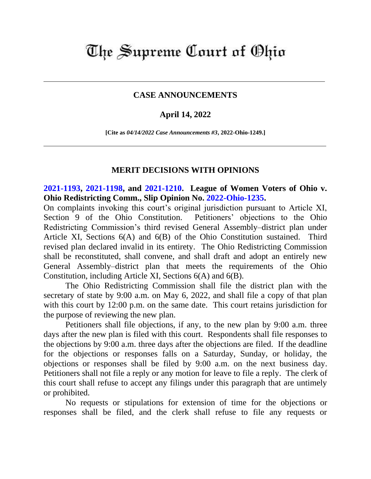## The Supreme Court of Ohio

## **CASE ANNOUNCEMENTS**

## **April 14, 2022**

**[Cite as** *04/14/2022 Case Announcements #3***, 2022-Ohio-1249.]**

## **MERIT DECISIONS WITH OPINIONS**

**[2021-1193,](https://www.supremecourt.ohio.gov/Clerk/ecms/#/caseinfo/2021/1193) [2021-1198,](https://www.supremecourt.ohio.gov/Clerk/ecms/#/caseinfo/2021/1198) and [2021-1210.](https://www.supremecourt.ohio.gov/Clerk/ecms/#/caseinfo/2021/1210) League of Women Voters of Ohio v. Ohio Redistricting Comm., Slip Opinion No. [2022-Ohio-1235.](https://www.supremecourt.ohio.gov/rod/docs/pdf/0/2022/2022-Ohio-1235.pdf)**

On complaints invoking this court's original jurisdiction pursuant to Article XI, Section 9 of the Ohio Constitution. Petitioners' objections to the Ohio Redistricting Commission's third revised General Assembly–district plan under Article XI, Sections 6(A) and 6(B) of the Ohio Constitution sustained. Third revised plan declared invalid in its entirety. The Ohio Redistricting Commission shall be reconstituted, shall convene, and shall draft and adopt an entirely new General Assembly–district plan that meets the requirements of the Ohio Constitution, including Article XI, Sections 6(A) and 6(B).

The Ohio Redistricting Commission shall file the district plan with the secretary of state by 9:00 a.m. on May 6, 2022, and shall file a copy of that plan with this court by 12:00 p.m. on the same date. This court retains jurisdiction for the purpose of reviewing the new plan.

Petitioners shall file objections, if any, to the new plan by 9:00 a.m. three days after the new plan is filed with this court. Respondents shall file responses to the objections by 9:00 a.m. three days after the objections are filed. If the deadline for the objections or responses falls on a Saturday, Sunday, or holiday, the objections or responses shall be filed by 9:00 a.m. on the next business day. Petitioners shall not file a reply or any motion for leave to file a reply. The clerk of this court shall refuse to accept any filings under this paragraph that are untimely or prohibited.

No requests or stipulations for extension of time for the objections or responses shall be filed, and the clerk shall refuse to file any requests or